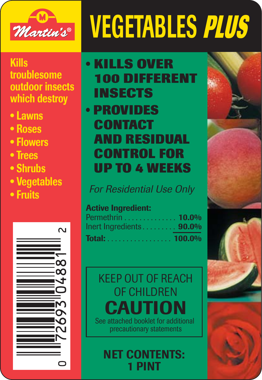

## **VEGETABLES PLUS**

#### **Kills troublesome outdoor insects which destroy**

- **• Lawns**
- **• Roses**
- **• Flowers**
- **• Trees**
- **• Shrubs**
- **• Vegetables**
- **• Fruits**



## **• KILLS OVER 100 DIFFERENT INSECTS**

### **• PROVIDES CONTACT AND RESIDUAL CONTROL FOR UP TO 4 WEEKS**

For Residential Use Only

#### **Active Ingredient:**

| Permethrin 10.0%           |  |
|----------------------------|--|
| Inert Ingredients $90.0\%$ |  |
| <b>Total:</b> 100.0%       |  |

### KEEP OUT OF REACH OF CHILDREN **CAUTION**<br>See attached booklet for additional precautionary statements

**NET CONTENTS: 1 PINT**





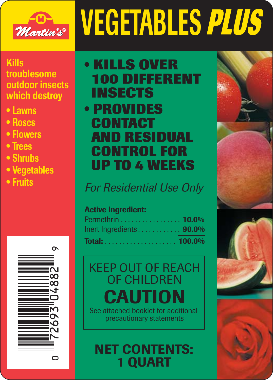

# **VEGETABLES PLUS**

#### **Kills troublesome outdoor insects which destroy**

- **• Lawns**
- **• Roses**
- **• Flowers**
- **• Trees**
- **• Shrubs**
- **• Vegetables**
- **• Fruits**



## **• KILLS OVER 100 DIFFERENT INSECTS • PROVIDES CONTACT**

## **AND RESIDUAL CONTROL FOR UP TO 4 WEEKS**

For Residential Use Only

#### **Active Ingredient:**

| Permethrin 10.0%        |                                 |
|-------------------------|---------------------------------|
| Inert Ingredients 90.0% | the contract of the contract of |
|                         |                                 |

## KEEP OUT OF REACH OF CHILDREN **CAUTION**

See attached booklet for additional precautionary statements

**NET CONTENTS: 1 QUART**





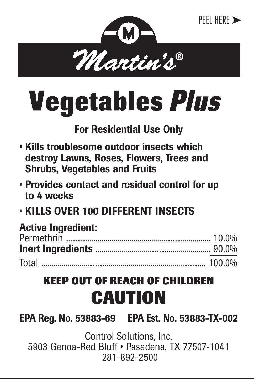

## **Vegetables Plus**

#### **For Residential Use Only**

- **Kills troublesome outdoor insects which destroy Lawns, Roses, Flowers, Trees and Shrubs, Vegetables and Fruits**
- **Provides contact and residual control for up to 4 weeks**
- **KILLS OVER 100 DIFFERENT INSECTS**

| <b>Active Ingredient:</b> |  |
|---------------------------|--|
|                           |  |
|                           |  |
|                           |  |

#### **KEEP OUT OF REACH OF CHILDREN CAUTION**

**EPA Reg. No. 53883-69 EPA Est. No. 53883-TX-002**

Control Solutions, Inc. 5903 Genoa-Red Bluff • Pasadena, TX 77507-1041 281-892-2500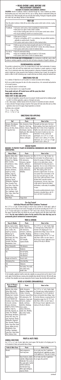### **• READ ENTIRE LABEL BEFORE USE PRECAUTIONARY STATEMENTS HAZARDS TO HUMANS AND DOMESTIC ANIMALS**

**CAUTION:** Harmful if swallowed, inhaled or absorbed through skin. Causes moderate eye irritation. Avoid breathing spray mist. Avoid contact with skin, eyes or clothing. Remove contaminated clothing and wash before reuse. Wash thoroughly with soap and water after handling. Prolonged or frequently repeated skin contact may cause allergic reactions in some individuals.

| for treatment.            | <b>FIRST AID</b><br>Have the product container or label with you when calling a poison control center or doctor, or going                                                                                                                                                                |
|---------------------------|------------------------------------------------------------------------------------------------------------------------------------------------------------------------------------------------------------------------------------------------------------------------------------------|
|                           |                                                                                                                                                                                                                                                                                          |
| If swallowed              | . Call poison control center or doctor immediately for treatment advice.<br>. Have person sip a glass of water if able to swallow.<br>. Do not induce vomiting unless told to do so by the poison control center or doctor.<br>. Do not give anything by mouth to an unconscious person. |
| If inhaled                | • Move person to fresh air.<br>• If person is not breathing, call 911 or an ambulance, then give artificial respiration,<br>preferably by mouth-to-mouth, if possible.<br>. Call a poison control center or doctor for further treatment advice.                                         |
| If in eyes                | . Hold eye open and rinse slowly and gently with water for 15-20 minutes.<br>. Remove contact lenses, if present, after the first 5 minutes, then continue rinsing eye.<br>. Call a poison control center or doctor for treatment advice.                                                |
| If on skin or<br>clothing | • Take off contaminated clothing.<br>. Rinse skin immediately with plenty of water for 15-20 minutes.<br>. Call a poison control center or doctor for treatment advice.                                                                                                                  |
|                           | NOTE TO PHYSICIAN AND VETERINARIANS: Do not administer or instill milk, cream or other<br>substances containina vegetable or animal fats which will enhance absorption of lipophilic substances.                                                                                         |

**ENVIRONMENIAL HAZARUS**<br>This pesticide is extremely toxic to fish. Do not apply directly to water, Avoid contamination of ornamen-<br>tal fish ponds. Drifts and runoff from treated areas may be hazardous to aquatic organisms product or allow it to drift to blooming crops or weeds while bees are actively, visiting the treatment area.

Do not use food utensils to mix or apply this product.<br>**Keep people and pets off treated areas until the spray has drie Keep people and pets off treated areas until the spray has dried.**

#### **DIRECTIONS FOR USE**

It is a violation of Federal law to use this product in a manner inconsistent with its labeling.

Not for use on plants being grown for sale or for other commercial use, or for commercial seed production or for research purposes.

Do not apply this product in enclosed areas.

#### **SHAKE WELL BEFORE USING**

#### **THREE STEPS TO MIX AND APPLY:**

- 1. For lawns and vegetables, measure the area to be sprayed. Calculate square feet by multiplying length<br>by width. For all other applications, apply as a thorough cover spray.<br>2. Use a clean sprayer. Carefully measure and
- 3. Spray as directed. Thorough coverage is important. Flush sprayer with clean water after each use. Make applications when insects first appear. Repeat applications as directed.
- 
- Use Dilution rate as indicated: 1 fl. oz. = 6 tsp. or 2 Tbsp.
- $8 \text{ fl. oz.} = 1/2 \text{ pt. or } 1 \text{ cup.}$

#### **DIRECTIONS FOR APPLYING HOME LAWNS**

#### **HOUSE PLANTS**

**INDOORS: TO PROTECT PLANTS IN RESIDENTIAL GREENHOUSES AND FOR INDOOR LANDSCAPING:**

#### **Fire Ant Control**

### **Individual Mound and Plant Container Treatment**

Mix 1/2 fl. oz. in 3 gals. of water and apply as a drench using a sprinkler can. Gently apply 1 gallon of<br>the mixture over the surface of each mound. Thoroughly wet mound and surrounding area of 3x4 ft. (12<br>sq. ft.). For b they appear. Pressurized sprays may disturb ants and cause migration which will reduce product effec<br>tiveness. **Use the same method as above for the control of Fire Ants that may nest in**<br>**permanently placed containerized** 

| Turf                                                                                                    | Pests                                                                                                                                                                                                       | <b>How to Use</b>                                                                                                                                                                                                                                                                                                                                                                                                                             |
|---------------------------------------------------------------------------------------------------------|-------------------------------------------------------------------------------------------------------------------------------------------------------------------------------------------------------------|-----------------------------------------------------------------------------------------------------------------------------------------------------------------------------------------------------------------------------------------------------------------------------------------------------------------------------------------------------------------------------------------------------------------------------------------------|
| Bentgrass, Bermudagrass,<br>Bluegrass, Dichondra,<br>Fescue, Irish Moss, Merion,<br>St. Augustine Grass | Ants, Armyworms, Brown<br>dog ticks, Chinch bugs,<br>Crickets, Cutworms, Fleas,<br>Grasshoppers, Japanese<br>beetle grubs, Mole crickets,<br>Sod webworms.<br>Ticks that carry Lyme<br>Disease, Leafhoppers | Thoroughly wet down grass a few hours<br>before applying. Home lawns should be no<br>taller than 3 inches at time of application.<br>Slightly more water may be used as long<br>as the amount of product per area is as<br>listed below. For ants, crickets and<br>grasshoppers, use 1/2 fl. oz. in 3 gals.<br>of water to cover 1,000 sa. ft. For other<br>listed insects, use 1 1/2 fl. ozs. in 10 gals.<br>of water to cover 1,000 sq. ft. |

#### **ROSES & FLOWERS (ORNAMENTALS)**

| LAND SVAF INV.                                                                                                                                                                                                                                                                                                                                                                                                                                                                                                                                                |                                                                                                                                                                                                                   |                                                                                                                                                                                                                                                                                                                                                                                                                                                                                                                                                                                                                                                                                                                                                                                                                                                                                         |
|---------------------------------------------------------------------------------------------------------------------------------------------------------------------------------------------------------------------------------------------------------------------------------------------------------------------------------------------------------------------------------------------------------------------------------------------------------------------------------------------------------------------------------------------------------------|-------------------------------------------------------------------------------------------------------------------------------------------------------------------------------------------------------------------|-----------------------------------------------------------------------------------------------------------------------------------------------------------------------------------------------------------------------------------------------------------------------------------------------------------------------------------------------------------------------------------------------------------------------------------------------------------------------------------------------------------------------------------------------------------------------------------------------------------------------------------------------------------------------------------------------------------------------------------------------------------------------------------------------------------------------------------------------------------------------------------------|
| <b>House Plants</b>                                                                                                                                                                                                                                                                                                                                                                                                                                                                                                                                           | Pests                                                                                                                                                                                                             | How to Use                                                                                                                                                                                                                                                                                                                                                                                                                                                                                                                                                                                                                                                                                                                                                                                                                                                                              |
| Ageratum, Ardisia, Aster,<br>Baby's Breath, Begonia,<br>Birdsnest Fern, Bleeding<br>Heart, Carnation,<br>Chrysanthemum, Coleus,<br>Crown of Thorns.<br>Cockscomb, Cyclamen,<br>Dracaena, Dumbcane,<br>English Ivy, Fuchsia,<br>Gladiolus, Grape Ivy,<br>Juniper, Lily, Marigold,<br>Orchid, Palm, Pansy,<br>Peperomia, Petunia,<br>Philodendron, Piggy-Back<br>Plant, Poinsettia, Portu-<br>laca, Pothos, Prayer Plant,<br>Purple Passion, Rabbits<br>Foot Fern, Rose, Schef-<br>flera, Snapdragon, Snake<br>Plant, Statice, Velvet Plant,<br>Verbena, Zinnia | Aphids, Armyworms, Corn<br>earworms, Exposed thrips,<br>Fall cankerworms.<br>Inchworms, Japanese<br>beetles. Leafminers.<br>Leafrollers, Mealybugs,<br>Scales, Solder mites,<br>Spring cankerworms,<br>Whiteflies | Mix 1/4 fl. oz. in 1 gal. of water. Con-<br>tact and residual: Use sufficient spray to<br>obtain full coverage of all foliage. If appli-<br>cation is to be made indoors, remove<br>infested plants from living areas prior to<br>application. Use in an area not likely to be<br>occupied by people or pets (particularly<br>fish). After spraying, plants can be<br>returned to original location. Do not use<br>more product than recommended, as this<br>may cause some plant injury. Use with<br>care on ferns, palms and fuchsia. As with<br>all plants listed, especially carnations,<br>chrysanthemums, and roses, there exists<br>a wide variety of species and cultivars,<br>and therefore, a wide variety of susceptibility<br>to injury.<br>To ascertain possible phytotoxicity, treat a<br>few plants as described above, wait 24<br>hours, and check for possible injury. |
| <b>Velvet Plants</b>                                                                                                                                                                                                                                                                                                                                                                                                                                                                                                                                          | <b>Fungus Gnats</b>                                                                                                                                                                                               |                                                                                                                                                                                                                                                                                                                                                                                                                                                                                                                                                                                                                                                                                                                                                                                                                                                                                         |

#### **FRUITS & NUTS TREES**

#### **GENERAL DIRECTIONS**

Use 1/2 fl. oz. in 1 gal. of water. Apply when insects appear. Wet the plants to the dripping point. Try to hit underside of leaves and penetrate dense foliage.

| TREES & SHRUBS                                                                                                                                                                                                                                                |                                                                                                                                                                                                              |                                                                                                                                                                                                                                                                                                                                                                                           |  |
|---------------------------------------------------------------------------------------------------------------------------------------------------------------------------------------------------------------------------------------------------------------|--------------------------------------------------------------------------------------------------------------------------------------------------------------------------------------------------------------|-------------------------------------------------------------------------------------------------------------------------------------------------------------------------------------------------------------------------------------------------------------------------------------------------------------------------------------------------------------------------------------------|--|
| <b>Trees &amp; Shrubs</b>                                                                                                                                                                                                                                     | Pests                                                                                                                                                                                                        | <b>How to Use</b>                                                                                                                                                                                                                                                                                                                                                                         |  |
| Arizona, Cypress, Azalea,<br>Birch, Cherry, Non-bearing<br>Citrus, Conifers, Elm,<br>English Ivy, Euonymus,<br>Weeping Fig, Fir,<br>Honeysuckle, Lilac,<br>Mock-orange, Oak, Palm,<br>Philodendron, Pine,<br>Poinsettia, Tulip Poplar,<br>Rhododendron, Taxus | Aphids, Bagworms,<br>Cicadas, Exposed thrips,<br>Fall cankerworms,<br>Inchworms, Leafminers,<br>Leafrollers, Mealybugs,<br>Spider mites, Whiteflies,<br>Gypsy Moth,<br>Tent Caterpillar,<br>Japanese Beetles | Use 1/4 fl. oz. in 1 gal. of water. Apply<br>as a thorough spray, wetting leaves and<br>branches to the dripping point. Try to<br>penetrate dense foliage. Spray in the late<br>afternoon or evening, when the<br>temperature ranges from 50°-75°F and<br>when there is little or no wind. Spray at<br>the first sign of insects. Application can be<br>made up to the day of collection. |  |
| Cherry, Honeysuckle                                                                                                                                                                                                                                           | Fall webworms                                                                                                                                                                                                |                                                                                                                                                                                                                                                                                                                                                                                           |  |
| Conifer                                                                                                                                                                                                                                                       | <b>Budworms</b>                                                                                                                                                                                              |                                                                                                                                                                                                                                                                                                                                                                                           |  |
| Flm                                                                                                                                                                                                                                                           | Elm leaf beetles,<br>Elm spanworms,<br>Fall webworms                                                                                                                                                         |                                                                                                                                                                                                                                                                                                                                                                                           |  |
| Douglas and Grand Firs                                                                                                                                                                                                                                        | Tussock moths                                                                                                                                                                                                |                                                                                                                                                                                                                                                                                                                                                                                           |  |
| Non-bearing Citrus                                                                                                                                                                                                                                            | Citrus black flies                                                                                                                                                                                           |                                                                                                                                                                                                                                                                                                                                                                                           |  |
| 0ak                                                                                                                                                                                                                                                           | Oakworms                                                                                                                                                                                                     |                                                                                                                                                                                                                                                                                                                                                                                           |  |
| Pine                                                                                                                                                                                                                                                          | Pine beetles, Pine moths,<br>Pine needle miners.<br>Needle scales                                                                                                                                            |                                                                                                                                                                                                                                                                                                                                                                                           |  |

On Tent caterpillars, application should be made when caterpillars are young and tents are first noticed. For be results, apply in the late afternoon or evening, when caterpillars have returned to their tents. Wet tents with spray<br>on all sides. A few caterpillars may be seen escaping from the tent; however, they should die within sev

| <b>Roses &amp; Flowers</b><br>(Ornamentals)                                                                                                                                                                                                                                                                                                                                                                                                                                                                                                                                                                                                                                                      | Pests                                                                                                                                                                                                                                                                                                                                              | How to Use                                                                                                                                                                                                                                                                                                                                                                                                   |
|--------------------------------------------------------------------------------------------------------------------------------------------------------------------------------------------------------------------------------------------------------------------------------------------------------------------------------------------------------------------------------------------------------------------------------------------------------------------------------------------------------------------------------------------------------------------------------------------------------------------------------------------------------------------------------------------------|----------------------------------------------------------------------------------------------------------------------------------------------------------------------------------------------------------------------------------------------------------------------------------------------------------------------------------------------------|--------------------------------------------------------------------------------------------------------------------------------------------------------------------------------------------------------------------------------------------------------------------------------------------------------------------------------------------------------------------------------------------------------------|
| Ageratum, Aster, Ardisia,<br>Azalea, Baby's breath,<br>Begonia, Birds-nest fern,<br>Bleeding heart, Carnation,<br>Chrysanthemum, Coleus,<br>Common Ninebark and<br>Snowberry, Crown of thorns,<br>Cockscomb, Cyclamen,<br>Dracaena, Dumbcane,<br>English Ivy, Exacum, Fuchsia,<br>Gladiolus, Grape Ivy,<br>Gold bells, Hypoestes, Ivy,<br>Juniper, Lilac, Marigold,<br>Mock-Orange, Nannyberry,<br>Orchid, Palm, Pansy, Pea<br>shrub, Peperomia, Petunia,<br>Philodendron, Piggy-back<br>Plant, Poinsettia, Portulaca,<br>Pothos, Prayer Plant, Purple<br>Passion, Rabbits foot fern,<br>Rhododendron, Rose.<br>Schefflera, Snapdragon,<br>Snake Plant, Statice Velvet<br>Plant, Verbena, Zinnia | Aphids, Armyworms,<br>Bagworms, Cabbage worms,<br>Cicadas, Cornworms,<br>Cutworms, Exposed thrips,<br>Fall cankerworms, Fall<br>webworms, Fungus gnat,<br>Inchworms, Japanese<br>beetles, Leafminers,<br>Leafrollers, Mealybugs,<br>Scale crawlers.<br>Spring cankerworms,<br>Spider mites, Whiteflies,<br>Rose Chafer, Psyllids,<br>Scale Insects | Use 1/4 fl. oz. in 1 gal. of water. Apply<br>as a thorough spray, wetting the plants to<br>the dripping point. Try to hit underside of<br>leaves and penetrate dense foliage. Spray<br>in the later afternoon or evening when the<br>temperature ranges from 50°-75°F and<br>when there is little or no wind. Sprav at<br>the first sign of insects. Application can be<br>made up to the day of collection. |

| <b>Fruits &amp; Nuts Trees</b> | Pests                                                                                                                                                                                   | <b>How to Use</b>                                                                                                                         |
|--------------------------------|-----------------------------------------------------------------------------------------------------------------------------------------------------------------------------------------|-------------------------------------------------------------------------------------------------------------------------------------------|
| Almonds                        | Navel orangeworms,<br>Peach twig borers                                                                                                                                                 | Do not make more than 2 applications<br>during hull split and 5 applications per season.<br>Can be applied up to 7 days prior to harvest. |
| Apples                         | Green fruitworms, Aphids,<br>Redbanded), Plum curculio,<br>Rosy apple aphids, Spotted<br>tentiform leafminers,<br>Tarnished plant bugs,<br>White apple leafhoppers,<br>Japanese Beetles | Do not make more than 3 applications.<br>Leafrollers (Oblique-banded,   Do not apply after petal fall.                                    |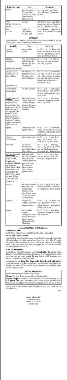#### **VEGETABLES**

Prepare a spray solution at the dilution rates listed for each crop in the chart below. Apply the spray solution at the rate of 1 gallon to cover 440 square feet surface area.

Use Vegetables Plus on Ants, Clover mites, Crickets, Earwigs, Millipedes, Sowbugs (pillbugs) and spiders<br>to help prevent infestation of buildings, treat the building foundation to a height of 2 to 3 feet, where<br>pests are a including porches, screens, window frames, eaves, patios, garages, refuse dumps and other areas where these pests congregate or have been seen.

Use Vegetables Plus on Ants, Crickets, Earwigs, Fleas, Ticks **(including ticks that may carry Lyme**<br>**Disease)** for treatment of localized infestations of these insects in areas where there are weeds or bushy<br>non-crop areas application only as needed to maintain insect control.

To reduce annoyance from: **Cluster flies, Flying moths, Gnats, House flies, Mosquitoes.**<br>Spay outside surfaces of screens, doors, window frames or wherever these insects may enter the room.<br>Also treat surfaces around light

#### **NUISANCE PESTS IN OUTDOOR AREAS**

#### **GENERAL DIRECTIONS**

Use 1 2/3 fl.ozs. in 1 quart of water, treating 400 linear feet with a 6-inch spray band.

#### **OUTSIDE SURFACES OF BUILDING**

Buyer assumes all risk of use, storage or handling of this product not in strict accordance with label direc-.<br>ns and precautions.

#### **OTHER OUTDOOR AREAS**

| <b>Fruits &amp; Nuts Trees</b>                | Pests                                                                                                                          | How to Use                                                                                                                  |
|-----------------------------------------------|--------------------------------------------------------------------------------------------------------------------------------|-----------------------------------------------------------------------------------------------------------------------------|
| Penches                                       | Borers (Lesser peachtree,<br>Peach twig), Green<br>fruitworms, Plum curculio,<br>Oriental fruit moths,<br>Tarnished plant bugs | Do not apply within 7 days of harvest.<br>Do not make more than 8 applications<br>per season.                               |
| Pears<br>(dormant through delayed<br>dormant) | Pear psylla                                                                                                                    | Apply during the dormant through delayed<br>dormant growth period only. Do not make<br>more than 2 applications per season. |
| Pears<br>(summer)                             | Codling Moths,<br>Green fruitworms.<br>Pear psylla, Aphids                                                                     | Do not make more than 3 applications per<br>season. Can be applied up to 14 days prior<br>to harvest.                       |

#### **STORAGE AND DISPOSAL**

Do not contaminate water, food or feed by storage or disposal. **Storage:** Store in cool, dry area away from children and domestic animals.

**Disposal: If empty:** Do not reuse this container. Do not rinse unless required for recycling. Place in<br>trash. **If partly filled:** Call your local solid waste agency or 1-800-CLEANUP for disposal instructions.<br>Unless other

0305

#### **Control Solutions, Inc.**

5903 Genoa-Red Bluff Pasadena, TX 77507-1041 281-892-2500

| Vegetables                                                                                                                                                                                                                                                                                                                                       | Pests                                                                                                                                                                                                                | <b>How to Use</b>                                                                                                                                                                                                                                   |
|--------------------------------------------------------------------------------------------------------------------------------------------------------------------------------------------------------------------------------------------------------------------------------------------------------------------------------------------------|----------------------------------------------------------------------------------------------------------------------------------------------------------------------------------------------------------------------|-----------------------------------------------------------------------------------------------------------------------------------------------------------------------------------------------------------------------------------------------------|
| Asparagus<br>(pre-harvest)                                                                                                                                                                                                                                                                                                                       | Asparagus beetles,<br>Cutworms                                                                                                                                                                                       | Use 3/4 fl. oz. in 2 gals. of water. Apply<br>to ensure uniform coverage. Do not apply<br>more than 4 applications per crop. Can be<br>applied up to 3 days prior to harvest.                                                                       |
| Asparagus<br>(post-harvest)                                                                                                                                                                                                                                                                                                                      | Larval stages of asparagus<br>beetle; Tarnished plant<br>bugs, Lygus bugs, Adult<br>Japanese beetle                                                                                                                  | Use 1/4 fl. oz. in 1 gal. of water. Treat<br>ferns or bush growth after spear harvest<br>when insects are present.                                                                                                                                  |
| Celery-see Leafy Vegetables                                                                                                                                                                                                                                                                                                                      |                                                                                                                                                                                                                      |                                                                                                                                                                                                                                                     |
| Cole Crops, Broccoli,<br>Brussels Sprouts, Cab-<br>bage, Cauliflower                                                                                                                                                                                                                                                                             | Beet armyworms, Cab-<br>bage aphids and loopers,<br>Diamondback moths,<br>Imported cabbageworms                                                                                                                      | Use 1/4 fl. oz. in 1 gal. of water. Apply<br>every 5 days or as needed. Can be applied<br>up to 1 day prior to harvest. Do not make<br>more than 8 applications on Cauliflower,<br>Brussels Sprouts and Broccoli and 10<br>applications on Cabbage. |
| Corn-see Sweet Corn                                                                                                                                                                                                                                                                                                                              |                                                                                                                                                                                                                      |                                                                                                                                                                                                                                                     |
| Cucumber, Melons,<br>Pumpkins, Squash                                                                                                                                                                                                                                                                                                            | Flea beetle, Leafhopper                                                                                                                                                                                              | Use 1/2 fl. oz. in 1 gal. water. Apply as<br>needed, but not more than 8 applications<br>per season. Can be applied up to 3 days<br>prior to harvest.                                                                                               |
| Cucurbits: Balsam pear<br>(bitter melon), Chinese<br>waxgourd (Chinese<br>preserving melon), citron<br>melon, cucumber, gherkin,<br>edible gourds; melons<br>including hybrids such as<br>cantaloupe, casaba,<br>crenshaw, honeydew,<br>honey balls, mango melon,<br>muskmelon, Persian melon,<br>pumpkin, summer & winter<br>squash, watermelon | Aphids, Cabbage looper,<br>Cucumber Beetle (adults),<br>Cutworms, Leafhoppers,<br>Leafminers, Melonworms,<br>Pickleworm. Plant buas.<br>Squash bugs.                                                                 | Use 1/2 fl. oz. in 1 gal. water. Apply to<br>ensure uniform coverage. Can be applied<br>up to the day of harvest.                                                                                                                                   |
| Eggplant                                                                                                                                                                                                                                                                                                                                         | Colorado potato beetles,<br>Vegetable leafminers                                                                                                                                                                     | Use 3/4 fl. oz. in 1 gal. of water. Apply<br>to ensure uniform coverage. Do not exceed<br>16 applications. Can be applied up to 3 days<br>prior to harvest.                                                                                         |
| Horseradish<br>(Foliar application)                                                                                                                                                                                                                                                                                                              | Imported crucifer weevils                                                                                                                                                                                            | Use 3/4 fl. oz. in 1 gal. water. Do not<br>exceed 3 foliar applications. Can be<br>applied up to 22 days prior to harvest.                                                                                                                          |
| <b>Head Lettuce</b>                                                                                                                                                                                                                                                                                                                              | Corn earworms,<br>Beet armyworms,<br>Loopers (Alfalfa, Cabbage),<br>Tobacco budworms                                                                                                                                 | Use 1/2 fl. oz. in 1 gal. water. Apply<br>every 5-10 days as needed. Do not make<br>more than 10 applications per season.<br>Can be applied up to 1 day prior to harvest.                                                                           |
| Leafy Vegetables: Amaranth,<br>Arrugula, Celery, Celtuce,<br>Chervil, Corn salad,<br>Chrysanthemum<br>(edible-leaved and garland),<br>cress (garden and<br>upland), Dandelion, Dock,<br>Endive, Fennel, Lettuce<br>(head and leaf), Okra,<br>Parsley, Purslane (garden<br>and winter), Rhubarb,<br>Spinach, Swiss chard                          | Alfalfa looper, Aphids,<br>Beet armyworm, Cabbage<br>looper, Corn earworm,<br>Cutworms, European corn<br>borer, Fall armyworm,<br>Green cloverworm,<br>Southern armyworm,<br>Tobacco budworm.<br>Vegetable leafminer | Use 1/3 fl. oz. in 1 gal. water. Apply<br>every 5 to 10 days as needed. Can be<br>applied up to 1 day prior to harvest.                                                                                                                             |
| Melons-see Cucurbits                                                                                                                                                                                                                                                                                                                             |                                                                                                                                                                                                                      |                                                                                                                                                                                                                                                     |
| Potatoes                                                                                                                                                                                                                                                                                                                                         | potato beetle, Potato<br>leafhopper, Potato<br>tuberworm, Cabbage<br>looper, Cutworms, European<br>corn borer, Potato psyllid,<br>Tarnished plant bug                                                                | Beet armyworm, Colorado   Use 3/4 fl. oz. in 2 gals. of water. Apply as<br>needed, but not more than 12 applications.<br>Can be applied up to 7 days prior to harvest.                                                                              |
| Sweet Corn                                                                                                                                                                                                                                                                                                                                       | Armyworms (Fall,<br>Southern), Corn earworms,<br>European corn borers                                                                                                                                                | Use 3/4 fl. oz. in 2 gals. of water. Apply<br>every 5 days, but not more than 6<br>applications per season. Can be applied up<br>to 1 day prior to harvest.                                                                                         |
| Tomatoes                                                                                                                                                                                                                                                                                                                                         | Beet and southern<br>armyworm,<br>Tomato pinworm, Tomato<br>fruitworm. Horn worms.<br>Granulate cutworms,<br>Colorado potato beetle,<br>Cabbage looper                                                               | Use 1/2 fl. oz. in 1 gal. water. Apply to<br>ensure uniform coverage. Can be applied<br>up to day of harvest.                                                                                                                                       |